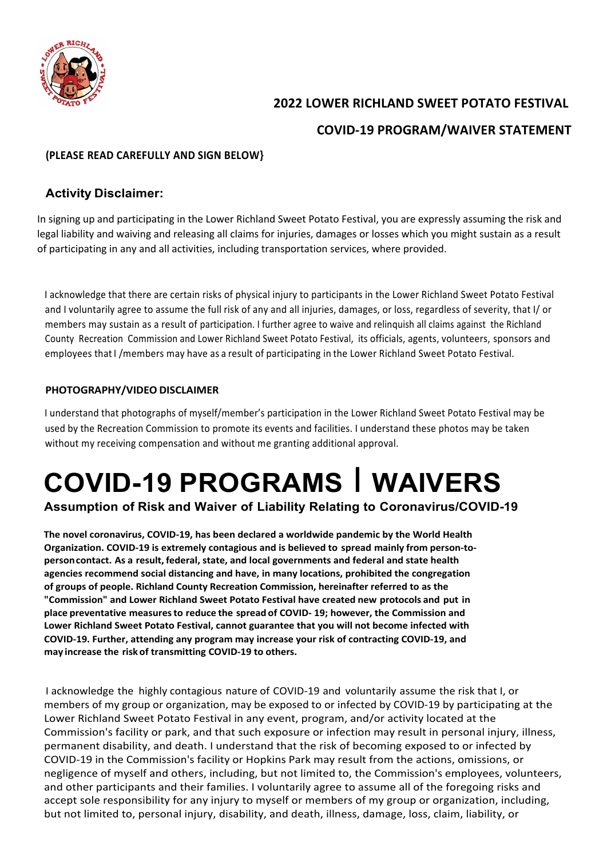

# **2022 LOWER RICHLAND SWEET POTATO FESTIVAL**

## **COVID-19 PROGRAM/WAIVER STATEMENT**

#### **(PLEASE READ CAREFULLY AND SIGN BELOW}**

#### **Activity Disclaimer:**

In signing up and participating in the Lower Richland Sweet Potato Festival, you are expressly assuming the risk and legal liability and waiving and releasing all claims for injuries, damages or losses which you might sustain as a result of participating in any and all activities, including transportation services, where provided.

I acknowledge that there are certain risks of physical injury to participants in the Lower Richland Sweet Potato Festival and I voluntarily agree to assume the full risk of any and all injuries, damages, or loss, regardless of severity, that I/ or members may sustain as a result of participation. I further agree to waive and relinquish all claims against the Richland County Recreation Commission and Lower Richland Sweet Potato Festival, its officials, agents, volunteers, sponsors and employees thatI /members may have as a result of participating in the Lower Richland Sweet Potato Festival.

#### **PHOTOGRAPHY/VIDEO DISCLAIMER**

I understand that photographs of myself/member's participation in the Lower Richland Sweet Potato Festival may be used by the Recreation Commission to promote its events and facilities. I understand these photos may be taken without my receiving compensation and without me granting additional approval.

# **COVID-19 PROGRAMS** I **WAIVERS**

### **Assumption of Risk and Waiver of Liability Relating to Coronavirus/COVID-19**

**The novel coronavirus, COVID-19, has been declared a worldwide pandemic by the World Health Organization. COVID-19 is extremely contagious and is believed to spread mainly from person-topersoncontact. As a result, federal, state, and local governments and federal and state health agencies recommend social distancing and have, in many locations, prohibited the congregation of groups of people. Richland County Recreation Commission, hereinafter referred to as the "Commission" and Lower Richland Sweet Potato Festival have created new protocols and put in place preventative measuresto reduce the spread of COVID- 19; however, the Commission and Lower Richland Sweet Potato Festival, cannot guarantee that you will not become infected with COVID-19. Further, attending any program may increase your risk of contracting COVID-19, and may increase the riskof transmitting COVID-19 to others.**

I acknowledge the highly contagious nature of COVID-19 and voluntarily assume the risk that I, or members of my group or organization, may be exposed to or infected by COVID-19 by participating at the Lower Richland Sweet Potato Festival in any event, program, and/or activity located at the Commission's facility or park, and that such exposure or infection may result in personal injury, illness, permanent disability, and death. I understand that the risk of becoming exposed to or infected by COVID-19 in the Commission's facility or Hopkins Park may result from the actions, omissions, or negligence of myself and others, including, but not limited to, the Commission's employees, volunteers, and other participants and their families. I voluntarily agree to assume all of the foregoing risks and accept sole responsibility for any injury to myself or members of my group or organization, including, but not limited to, personal injury, disability, and death, illness, damage, loss, claim, liability, or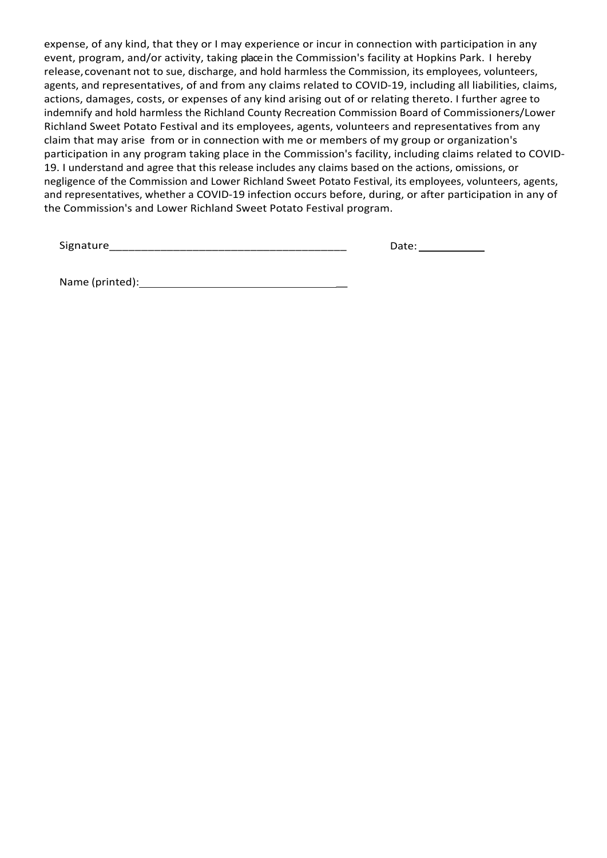expense, of any kind, that they or I may experience or incur in connection with participation in any event, program, and/or activity, taking placein the Commission's facility at Hopkins Park. I hereby release,covenant not to sue, discharge, and hold harmless the Commission, its employees, volunteers, agents, and representatives, of and from any claims related to COVID-19, including all liabilities, claims, actions, damages, costs, or expenses of any kind arising out of or relating thereto. I further agree to indemnify and hold harmless the Richland County Recreation Commission Board of Commissioners/Lower Richland Sweet Potato Festival and its employees, agents, volunteers and representatives from any claim that may arise from or in connection with me or members of my group or organization's participation in any program taking place in the Commission's facility, including claims related to COVID-19. I understand and agree that this release includes any claims based on the actions, omissions, or negligence of the Commission and Lower Richland Sweet Potato Festival, its employees, volunteers, agents, and representatives, whether a COVID-19 infection occurs before, during, or after participation in any of the Commission's and Lower Richland Sweet Potato Festival program.

Signature\_\_\_\_\_\_\_\_\_\_\_\_\_\_\_\_\_\_\_\_\_\_\_\_\_\_\_\_\_\_\_\_\_\_\_\_\_

Date:

Name (printed): \_